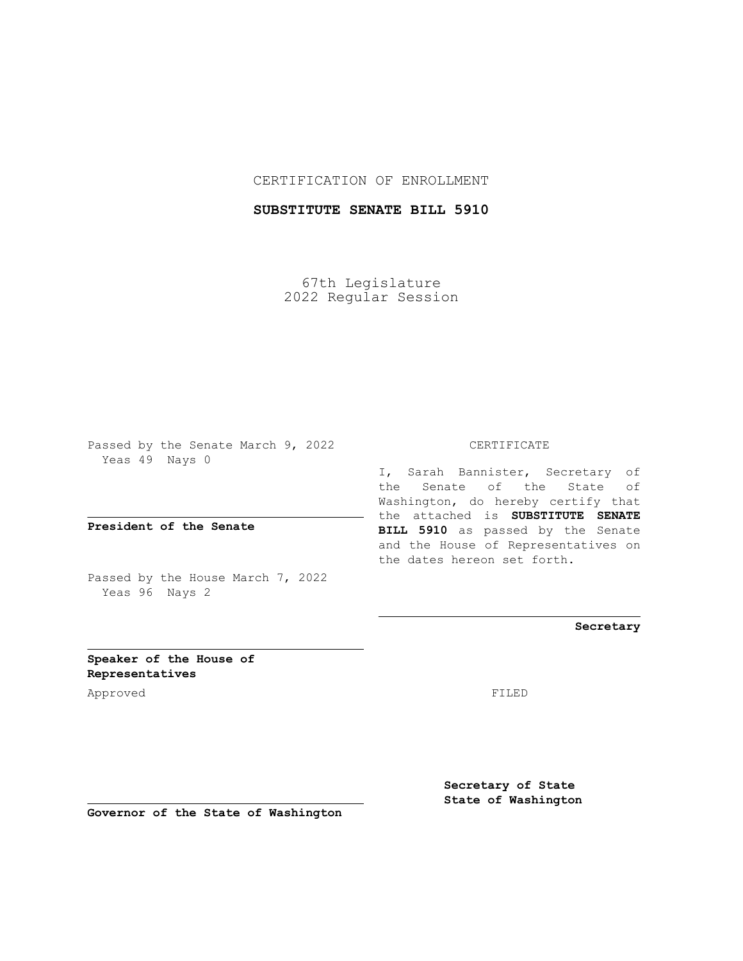### CERTIFICATION OF ENROLLMENT

### **SUBSTITUTE SENATE BILL 5910**

67th Legislature 2022 Regular Session

Passed by the Senate March 9, 2022 Yeas 49 Nays 0

**President of the Senate**

Passed by the House March 7, 2022 Yeas 96 Nays 2

#### CERTIFICATE

I, Sarah Bannister, Secretary of the Senate of the State of Washington, do hereby certify that the attached is **SUBSTITUTE SENATE BILL 5910** as passed by the Senate and the House of Representatives on the dates hereon set forth.

**Secretary**

**Speaker of the House of Representatives**

Approved FILED

**Secretary of State State of Washington**

**Governor of the State of Washington**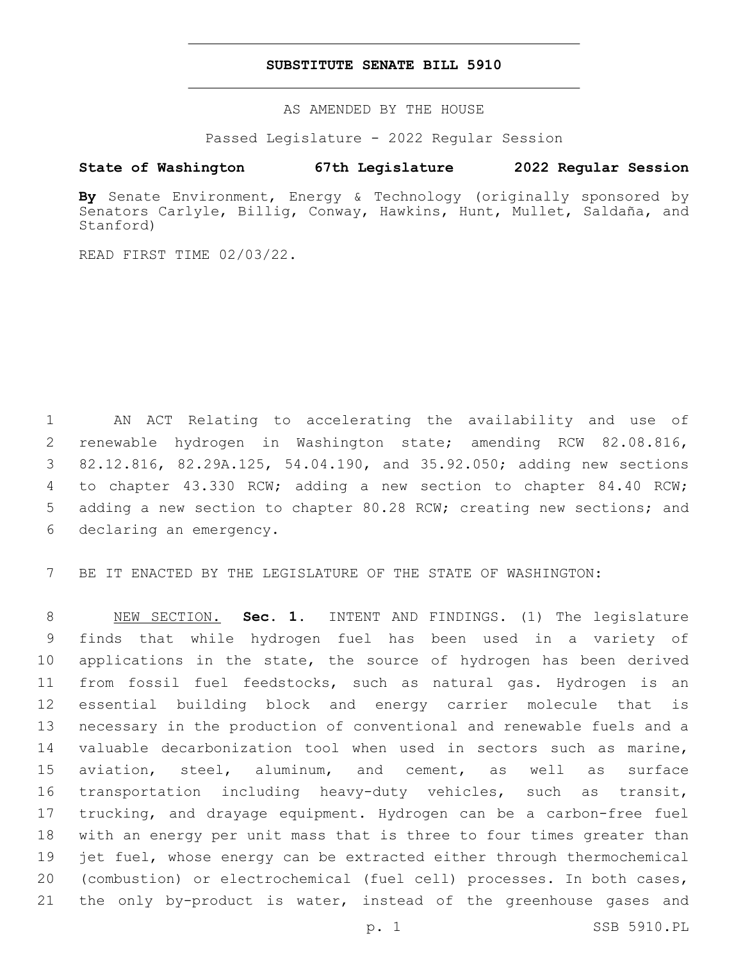#### **SUBSTITUTE SENATE BILL 5910**

AS AMENDED BY THE HOUSE

Passed Legislature - 2022 Regular Session

## **State of Washington 67th Legislature 2022 Regular Session**

**By** Senate Environment, Energy & Technology (originally sponsored by Senators Carlyle, Billig, Conway, Hawkins, Hunt, Mullet, Saldaña, and Stanford)

READ FIRST TIME 02/03/22.

 AN ACT Relating to accelerating the availability and use of renewable hydrogen in Washington state; amending RCW 82.08.816, 82.12.816, 82.29A.125, 54.04.190, and 35.92.050; adding new sections to chapter 43.330 RCW; adding a new section to chapter 84.40 RCW; 5 adding a new section to chapter 80.28 RCW; creating new sections; and 6 declaring an emergency.

7 BE IT ENACTED BY THE LEGISLATURE OF THE STATE OF WASHINGTON:

 NEW SECTION. **Sec. 1.** INTENT AND FINDINGS. (1) The legislature finds that while hydrogen fuel has been used in a variety of 10 applications in the state, the source of hydrogen has been derived from fossil fuel feedstocks, such as natural gas. Hydrogen is an essential building block and energy carrier molecule that is necessary in the production of conventional and renewable fuels and a valuable decarbonization tool when used in sectors such as marine, aviation, steel, aluminum, and cement, as well as surface transportation including heavy-duty vehicles, such as transit, trucking, and drayage equipment. Hydrogen can be a carbon-free fuel with an energy per unit mass that is three to four times greater than jet fuel, whose energy can be extracted either through thermochemical (combustion) or electrochemical (fuel cell) processes. In both cases, 21 the only by-product is water, instead of the greenhouse gases and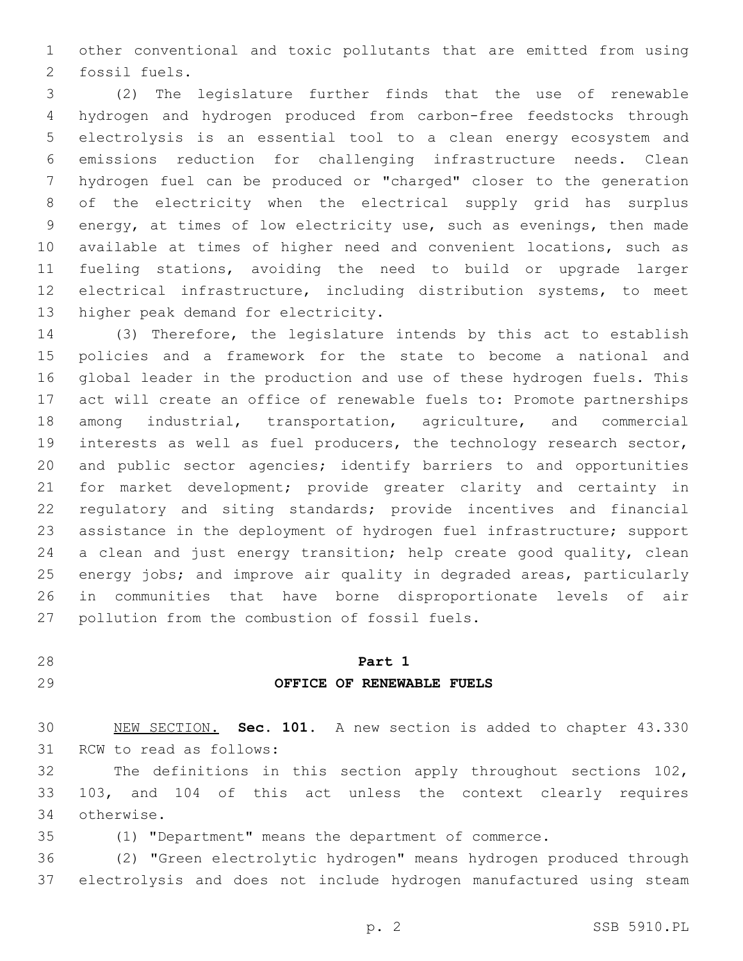other conventional and toxic pollutants that are emitted from using 2 fossil fuels.

 (2) The legislature further finds that the use of renewable hydrogen and hydrogen produced from carbon-free feedstocks through electrolysis is an essential tool to a clean energy ecosystem and emissions reduction for challenging infrastructure needs. Clean hydrogen fuel can be produced or "charged" closer to the generation of the electricity when the electrical supply grid has surplus energy, at times of low electricity use, such as evenings, then made available at times of higher need and convenient locations, such as fueling stations, avoiding the need to build or upgrade larger electrical infrastructure, including distribution systems, to meet 13 higher peak demand for electricity.

 (3) Therefore, the legislature intends by this act to establish policies and a framework for the state to become a national and global leader in the production and use of these hydrogen fuels. This act will create an office of renewable fuels to: Promote partnerships among industrial, transportation, agriculture, and commercial interests as well as fuel producers, the technology research sector, and public sector agencies; identify barriers to and opportunities for market development; provide greater clarity and certainty in regulatory and siting standards; provide incentives and financial assistance in the deployment of hydrogen fuel infrastructure; support a clean and just energy transition; help create good quality, clean energy jobs; and improve air quality in degraded areas, particularly in communities that have borne disproportionate levels of air 27 pollution from the combustion of fossil fuels.

# **Part 1 OFFICE OF RENEWABLE FUELS**

 NEW SECTION. **Sec. 101.** A new section is added to chapter 43.330 31 RCW to read as follows:

 The definitions in this section apply throughout sections 102, 103, and 104 of this act unless the context clearly requires otherwise.34

(1) "Department" means the department of commerce.

 (2) "Green electrolytic hydrogen" means hydrogen produced through electrolysis and does not include hydrogen manufactured using steam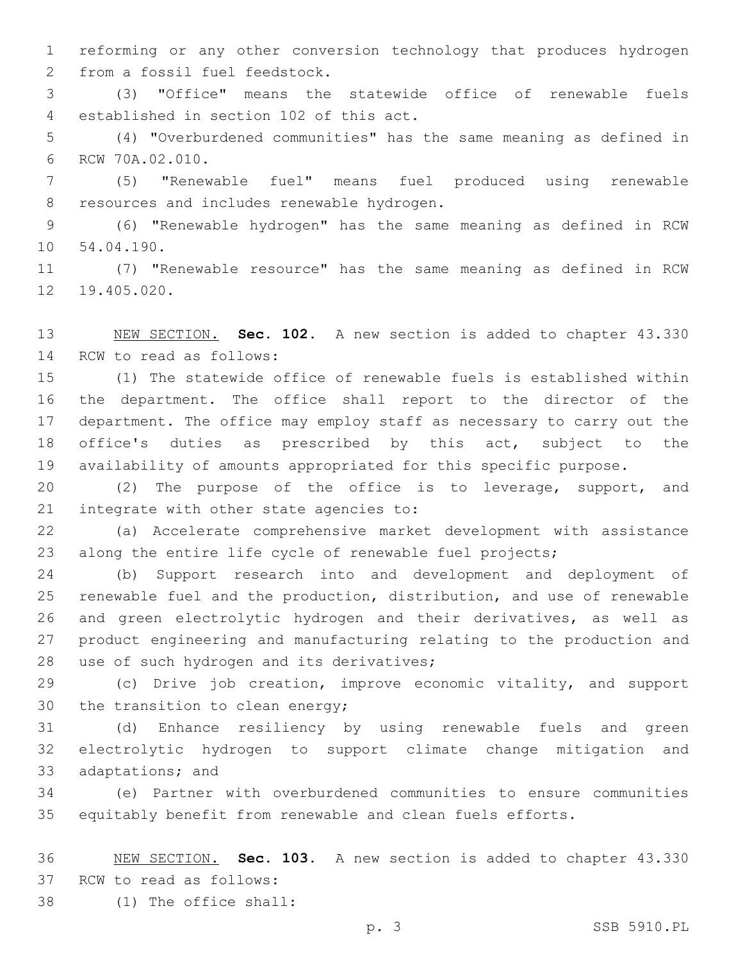reforming or any other conversion technology that produces hydrogen 2 from a fossil fuel feedstock.

 (3) "Office" means the statewide office of renewable fuels established in section 102 of this act.4

 (4) "Overburdened communities" has the same meaning as defined in 6 RCW 70A.02.010.

 (5) "Renewable fuel" means fuel produced using renewable 8 resources and includes renewable hydrogen.

 (6) "Renewable hydrogen" has the same meaning as defined in RCW 10 54.04.190.

 (7) "Renewable resource" has the same meaning as defined in RCW 12 19.405.020.

 NEW SECTION. **Sec. 102.** A new section is added to chapter 43.330 14 RCW to read as follows:

 (1) The statewide office of renewable fuels is established within the department. The office shall report to the director of the department. The office may employ staff as necessary to carry out the office's duties as prescribed by this act, subject to the availability of amounts appropriated for this specific purpose.

 (2) The purpose of the office is to leverage, support, and 21 integrate with other state agencies to:

 (a) Accelerate comprehensive market development with assistance along the entire life cycle of renewable fuel projects;

 (b) Support research into and development and deployment of renewable fuel and the production, distribution, and use of renewable and green electrolytic hydrogen and their derivatives, as well as product engineering and manufacturing relating to the production and 28 use of such hydrogen and its derivatives;

 (c) Drive job creation, improve economic vitality, and support 30 the transition to clean energy;

 (d) Enhance resiliency by using renewable fuels and green electrolytic hydrogen to support climate change mitigation and 33 adaptations; and

 (e) Partner with overburdened communities to ensure communities equitably benefit from renewable and clean fuels efforts.

 NEW SECTION. **Sec. 103.** A new section is added to chapter 43.330 37 RCW to read as follows:

(1) The office shall:38

p. 3 SSB 5910.PL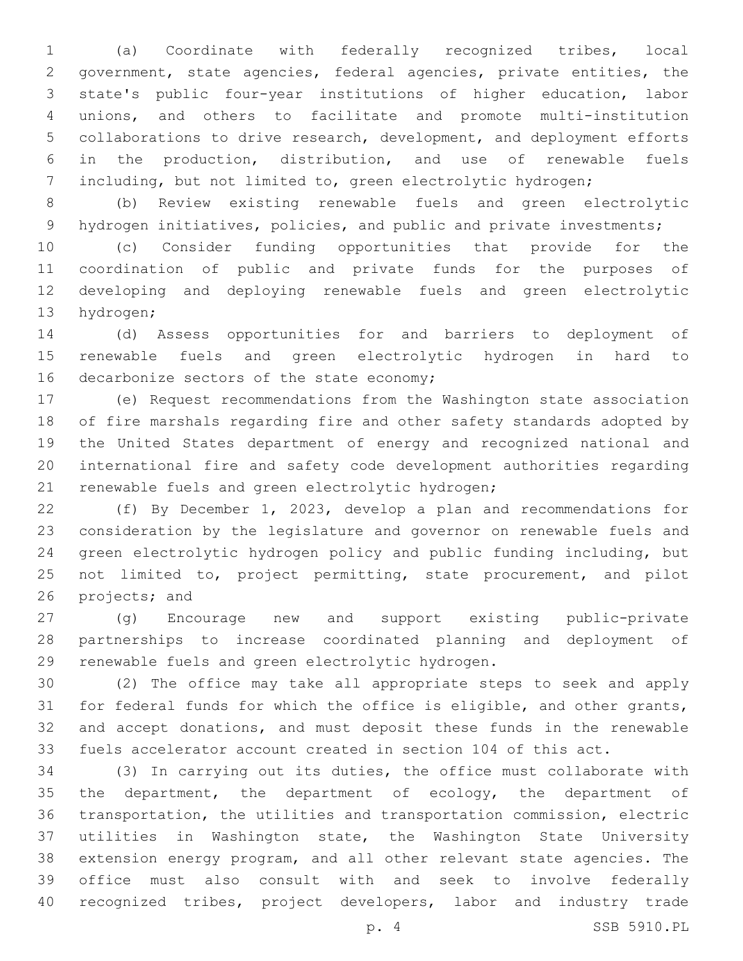(a) Coordinate with federally recognized tribes, local government, state agencies, federal agencies, private entities, the state's public four-year institutions of higher education, labor unions, and others to facilitate and promote multi-institution collaborations to drive research, development, and deployment efforts in the production, distribution, and use of renewable fuels including, but not limited to, green electrolytic hydrogen;

 (b) Review existing renewable fuels and green electrolytic 9 hydrogen initiatives, policies, and public and private investments;

 (c) Consider funding opportunities that provide for the coordination of public and private funds for the purposes of developing and deploying renewable fuels and green electrolytic 13 hydrogen;

 (d) Assess opportunities for and barriers to deployment of renewable fuels and green electrolytic hydrogen in hard to 16 decarbonize sectors of the state economy;

 (e) Request recommendations from the Washington state association of fire marshals regarding fire and other safety standards adopted by the United States department of energy and recognized national and international fire and safety code development authorities regarding 21 renewable fuels and green electrolytic hydrogen;

 (f) By December 1, 2023, develop a plan and recommendations for consideration by the legislature and governor on renewable fuels and green electrolytic hydrogen policy and public funding including, but not limited to, project permitting, state procurement, and pilot 26 projects; and

 (g) Encourage new and support existing public-private partnerships to increase coordinated planning and deployment of 29 renewable fuels and green electrolytic hydrogen.

 (2) The office may take all appropriate steps to seek and apply for federal funds for which the office is eligible, and other grants, and accept donations, and must deposit these funds in the renewable fuels accelerator account created in section 104 of this act.

 (3) In carrying out its duties, the office must collaborate with 35 the department, the department of ecology, the department of transportation, the utilities and transportation commission, electric utilities in Washington state, the Washington State University extension energy program, and all other relevant state agencies. The office must also consult with and seek to involve federally recognized tribes, project developers, labor and industry trade

p. 4 SSB 5910.PL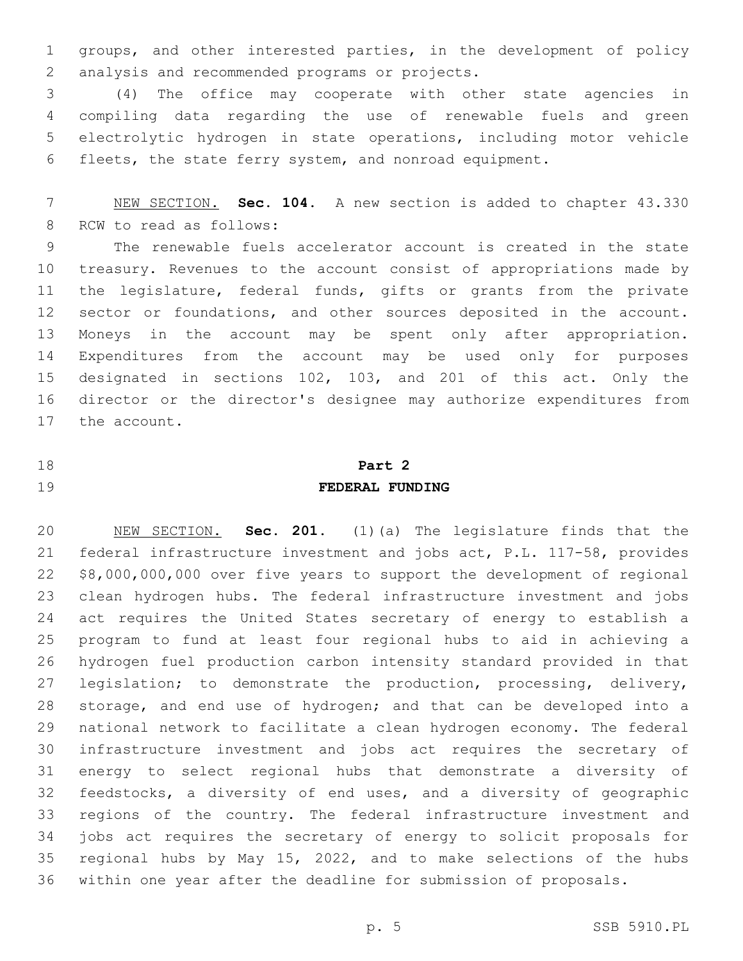groups, and other interested parties, in the development of policy 2 analysis and recommended programs or projects.

 (4) The office may cooperate with other state agencies in compiling data regarding the use of renewable fuels and green electrolytic hydrogen in state operations, including motor vehicle fleets, the state ferry system, and nonroad equipment.

 NEW SECTION. **Sec. 104.** A new section is added to chapter 43.330 8 RCW to read as follows:

 The renewable fuels accelerator account is created in the state treasury. Revenues to the account consist of appropriations made by the legislature, federal funds, gifts or grants from the private 12 sector or foundations, and other sources deposited in the account. Moneys in the account may be spent only after appropriation. Expenditures from the account may be used only for purposes designated in sections 102, 103, and 201 of this act. Only the director or the director's designee may authorize expenditures from 17 the account.

# **Part 2**

# **FEDERAL FUNDING**

 NEW SECTION. **Sec. 201.** (1)(a) The legislature finds that the federal infrastructure investment and jobs act, P.L. 117-58, provides \$8,000,000,000 over five years to support the development of regional clean hydrogen hubs. The federal infrastructure investment and jobs act requires the United States secretary of energy to establish a program to fund at least four regional hubs to aid in achieving a hydrogen fuel production carbon intensity standard provided in that 27 legislation; to demonstrate the production, processing, delivery, storage, and end use of hydrogen; and that can be developed into a national network to facilitate a clean hydrogen economy. The federal infrastructure investment and jobs act requires the secretary of energy to select regional hubs that demonstrate a diversity of feedstocks, a diversity of end uses, and a diversity of geographic regions of the country. The federal infrastructure investment and jobs act requires the secretary of energy to solicit proposals for regional hubs by May 15, 2022, and to make selections of the hubs within one year after the deadline for submission of proposals.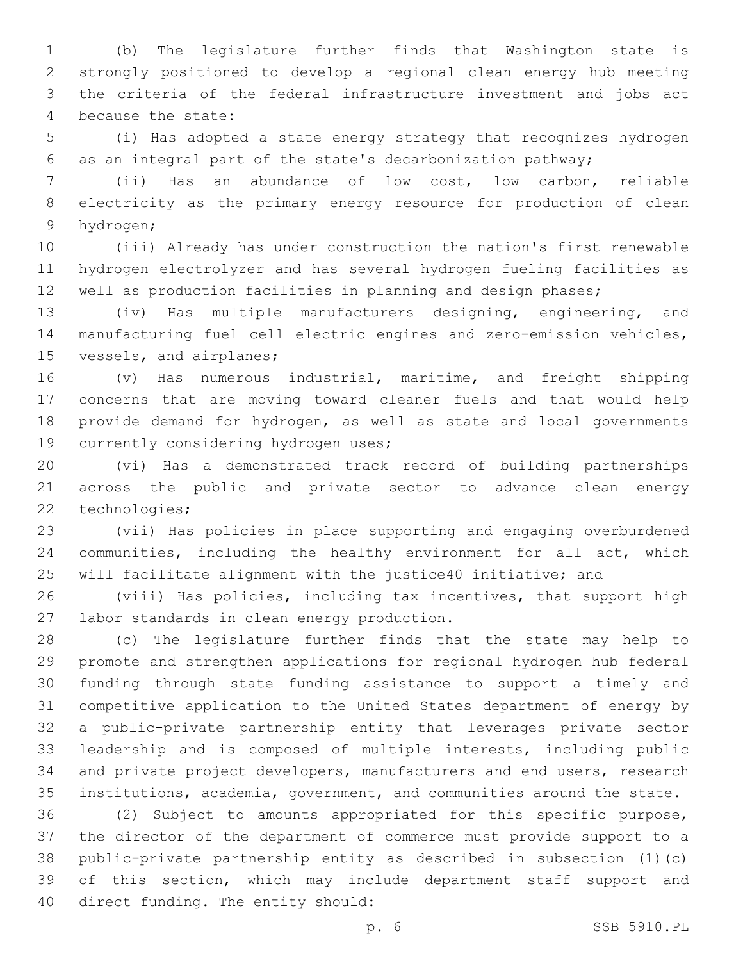(b) The legislature further finds that Washington state is strongly positioned to develop a regional clean energy hub meeting the criteria of the federal infrastructure investment and jobs act 4 because the state:

 (i) Has adopted a state energy strategy that recognizes hydrogen as an integral part of the state's decarbonization pathway;

 (ii) Has an abundance of low cost, low carbon, reliable electricity as the primary energy resource for production of clean 9 hydrogen;

 (iii) Already has under construction the nation's first renewable hydrogen electrolyzer and has several hydrogen fueling facilities as well as production facilities in planning and design phases;

 (iv) Has multiple manufacturers designing, engineering, and manufacturing fuel cell electric engines and zero-emission vehicles, 15 vessels, and airplanes;

 (v) Has numerous industrial, maritime, and freight shipping concerns that are moving toward cleaner fuels and that would help provide demand for hydrogen, as well as state and local governments 19 currently considering hydrogen uses;

 (vi) Has a demonstrated track record of building partnerships across the public and private sector to advance clean energy 22 technologies;

 (vii) Has policies in place supporting and engaging overburdened communities, including the healthy environment for all act, which will facilitate alignment with the justice40 initiative; and

 (viii) Has policies, including tax incentives, that support high 27 labor standards in clean energy production.

 (c) The legislature further finds that the state may help to promote and strengthen applications for regional hydrogen hub federal funding through state funding assistance to support a timely and competitive application to the United States department of energy by a public-private partnership entity that leverages private sector leadership and is composed of multiple interests, including public and private project developers, manufacturers and end users, research institutions, academia, government, and communities around the state.

 (2) Subject to amounts appropriated for this specific purpose, the director of the department of commerce must provide support to a public-private partnership entity as described in subsection (1)(c) of this section, which may include department staff support and 40 direct funding. The entity should: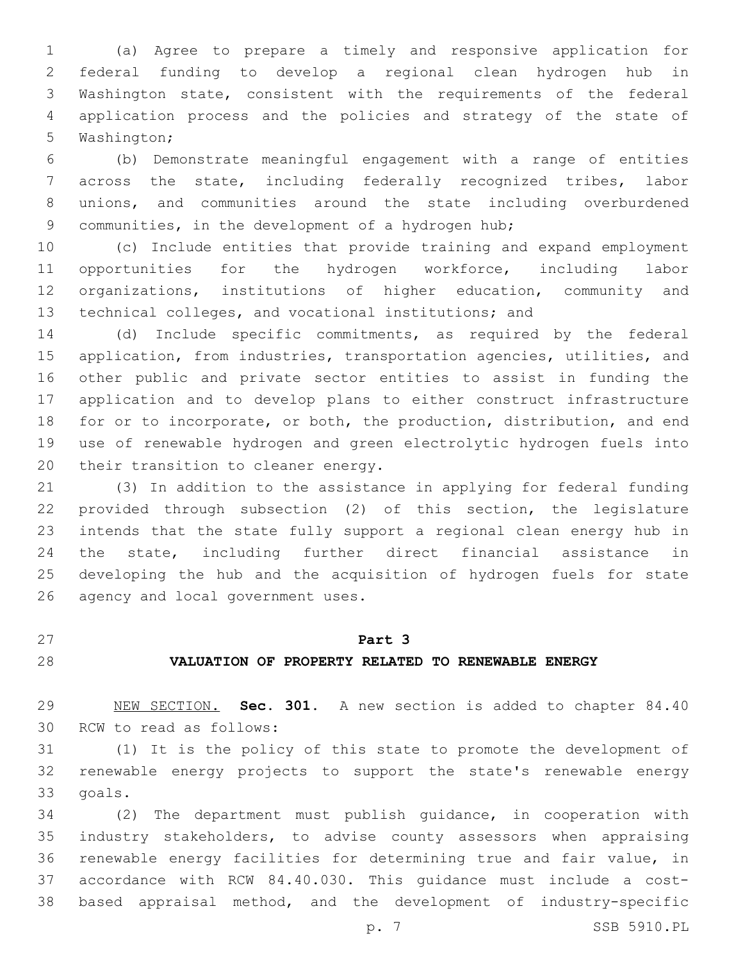(a) Agree to prepare a timely and responsive application for federal funding to develop a regional clean hydrogen hub in Washington state, consistent with the requirements of the federal application process and the policies and strategy of the state of 5 Washington;

 (b) Demonstrate meaningful engagement with a range of entities across the state, including federally recognized tribes, labor unions, and communities around the state including overburdened 9 communities, in the development of a hydrogen hub;

 (c) Include entities that provide training and expand employment opportunities for the hydrogen workforce, including labor organizations, institutions of higher education, community and technical colleges, and vocational institutions; and

 (d) Include specific commitments, as required by the federal application, from industries, transportation agencies, utilities, and other public and private sector entities to assist in funding the application and to develop plans to either construct infrastructure for or to incorporate, or both, the production, distribution, and end use of renewable hydrogen and green electrolytic hydrogen fuels into 20 their transition to cleaner energy.

 (3) In addition to the assistance in applying for federal funding provided through subsection (2) of this section, the legislature intends that the state fully support a regional clean energy hub in the state, including further direct financial assistance in developing the hub and the acquisition of hydrogen fuels for state 26 agency and local government uses.

### **Part 3**

# **VALUATION OF PROPERTY RELATED TO RENEWABLE ENERGY**

 NEW SECTION. **Sec. 301.** A new section is added to chapter 84.40 30 RCW to read as follows:

 (1) It is the policy of this state to promote the development of renewable energy projects to support the state's renewable energy 33 goals.

 (2) The department must publish guidance, in cooperation with industry stakeholders, to advise county assessors when appraising renewable energy facilities for determining true and fair value, in accordance with RCW 84.40.030. This guidance must include a cost-based appraisal method, and the development of industry-specific

p. 7 SSB 5910.PL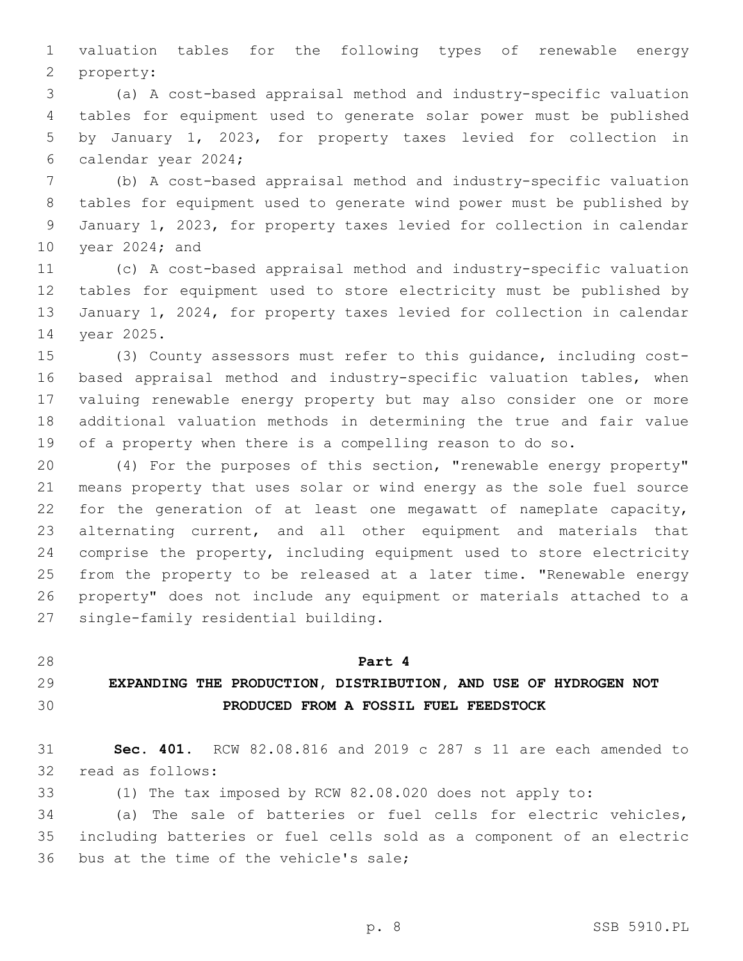valuation tables for the following types of renewable energy 2 property:

 (a) A cost-based appraisal method and industry-specific valuation tables for equipment used to generate solar power must be published by January 1, 2023, for property taxes levied for collection in 6 calendar year 2024;

 (b) A cost-based appraisal method and industry-specific valuation tables for equipment used to generate wind power must be published by January 1, 2023, for property taxes levied for collection in calendar 10 year 2024; and

 (c) A cost-based appraisal method and industry-specific valuation tables for equipment used to store electricity must be published by January 1, 2024, for property taxes levied for collection in calendar 14 year 2025.

 (3) County assessors must refer to this guidance, including cost- based appraisal method and industry-specific valuation tables, when valuing renewable energy property but may also consider one or more additional valuation methods in determining the true and fair value of a property when there is a compelling reason to do so.

 (4) For the purposes of this section, "renewable energy property" means property that uses solar or wind energy as the sole fuel source for the generation of at least one megawatt of nameplate capacity, alternating current, and all other equipment and materials that comprise the property, including equipment used to store electricity from the property to be released at a later time. "Renewable energy property" does not include any equipment or materials attached to a 27 single-family residential building.

#### **Part 4**

# **EXPANDING THE PRODUCTION, DISTRIBUTION, AND USE OF HYDROGEN NOT PRODUCED FROM A FOSSIL FUEL FEEDSTOCK**

 **Sec. 401.** RCW 82.08.816 and 2019 c 287 s 11 are each amended to 32 read as follows:

(1) The tax imposed by RCW 82.08.020 does not apply to:

 (a) The sale of batteries or fuel cells for electric vehicles, including batteries or fuel cells sold as a component of an electric 36 bus at the time of the vehicle's sale;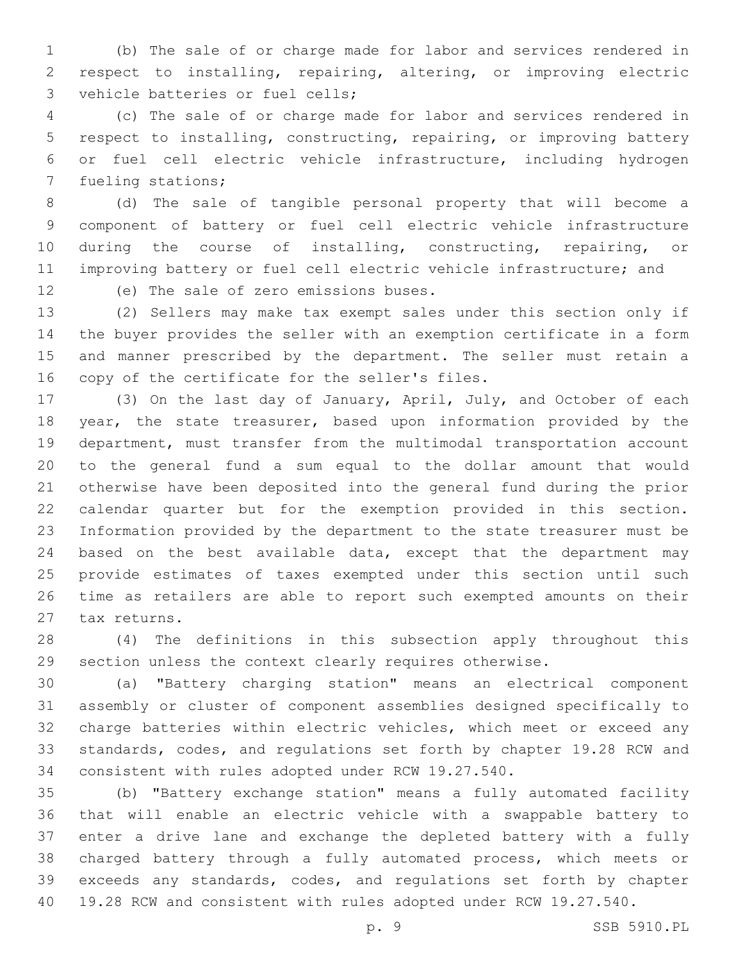(b) The sale of or charge made for labor and services rendered in respect to installing, repairing, altering, or improving electric 3 vehicle batteries or fuel cells;

 (c) The sale of or charge made for labor and services rendered in respect to installing, constructing, repairing, or improving battery or fuel cell electric vehicle infrastructure, including hydrogen 7 fueling stations;

 (d) The sale of tangible personal property that will become a component of battery or fuel cell electric vehicle infrastructure during the course of installing, constructing, repairing, or improving battery or fuel cell electric vehicle infrastructure; and

12 (e) The sale of zero emissions buses.

 (2) Sellers may make tax exempt sales under this section only if the buyer provides the seller with an exemption certificate in a form and manner prescribed by the department. The seller must retain a 16 copy of the certificate for the seller's files.

 (3) On the last day of January, April, July, and October of each year, the state treasurer, based upon information provided by the department, must transfer from the multimodal transportation account to the general fund a sum equal to the dollar amount that would otherwise have been deposited into the general fund during the prior calendar quarter but for the exemption provided in this section. Information provided by the department to the state treasurer must be 24 based on the best available data, except that the department may provide estimates of taxes exempted under this section until such time as retailers are able to report such exempted amounts on their 27 tax returns.

 (4) The definitions in this subsection apply throughout this section unless the context clearly requires otherwise.

 (a) "Battery charging station" means an electrical component assembly or cluster of component assemblies designed specifically to charge batteries within electric vehicles, which meet or exceed any standards, codes, and regulations set forth by chapter 19.28 RCW and consistent with rules adopted under RCW 19.27.540.

 (b) "Battery exchange station" means a fully automated facility that will enable an electric vehicle with a swappable battery to enter a drive lane and exchange the depleted battery with a fully charged battery through a fully automated process, which meets or exceeds any standards, codes, and regulations set forth by chapter 19.28 RCW and consistent with rules adopted under RCW 19.27.540.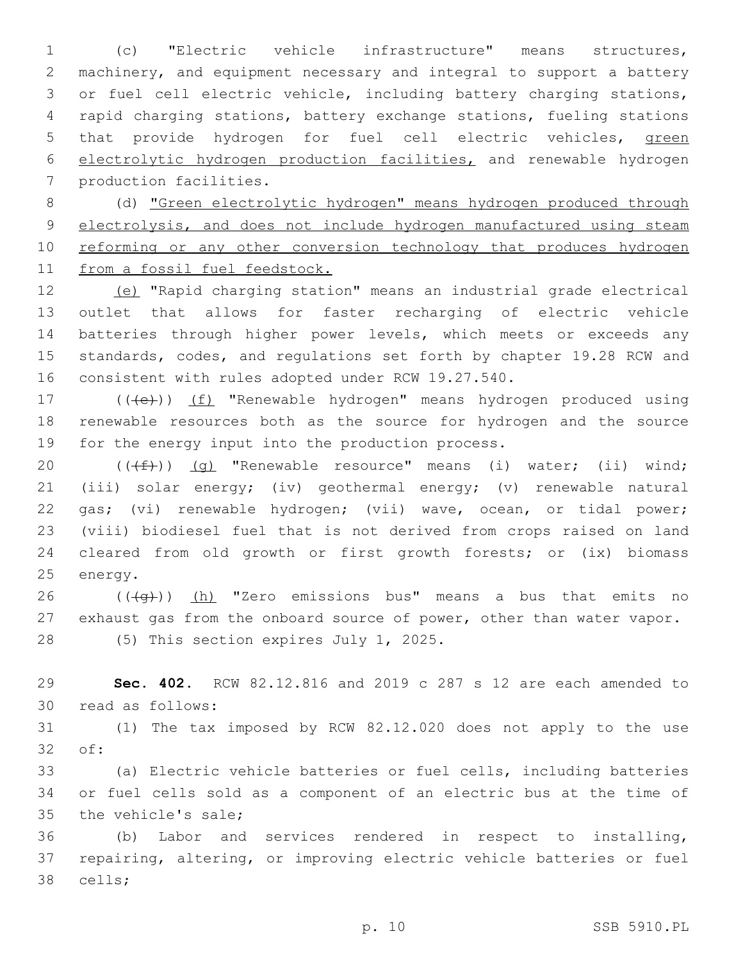(c) "Electric vehicle infrastructure" means structures, machinery, and equipment necessary and integral to support a battery or fuel cell electric vehicle, including battery charging stations, rapid charging stations, battery exchange stations, fueling stations that provide hydrogen for fuel cell electric vehicles, green electrolytic hydrogen production facilities, and renewable hydrogen 7 production facilities.

 (d) "Green electrolytic hydrogen" means hydrogen produced through electrolysis, and does not include hydrogen manufactured using steam 10 reforming or any other conversion technology that produces hydrogen from a fossil fuel feedstock.

 (e) "Rapid charging station" means an industrial grade electrical outlet that allows for faster recharging of electric vehicle batteries through higher power levels, which meets or exceeds any standards, codes, and regulations set forth by chapter 19.28 RCW and consistent with rules adopted under RCW 19.27.540.

17 (((e))) (f) "Renewable hydrogen" means hydrogen produced using renewable resources both as the source for hydrogen and the source 19 for the energy input into the production process.

 $((\text{#})\text{)}$  (g) "Renewable resource" means (i) water; (ii) wind; (iii) solar energy; (iv) geothermal energy; (v) renewable natural gas; (vi) renewable hydrogen; (vii) wave, ocean, or tidal power; (viii) biodiesel fuel that is not derived from crops raised on land cleared from old growth or first growth forests; or (ix) biomass 25 energy.

26 ( $(\overline{+q})$ ) (h) "Zero emissions bus" means a bus that emits no exhaust gas from the onboard source of power, other than water vapor. 28 (5) This section expires July 1, 2025.

 **Sec. 402.** RCW 82.12.816 and 2019 c 287 s 12 are each amended to 30 read as follows:

 (1) The tax imposed by RCW 82.12.020 does not apply to the use 32 of:

 (a) Electric vehicle batteries or fuel cells, including batteries or fuel cells sold as a component of an electric bus at the time of 35 the vehicle's sale;

 (b) Labor and services rendered in respect to installing, repairing, altering, or improving electric vehicle batteries or fuel 38 cells;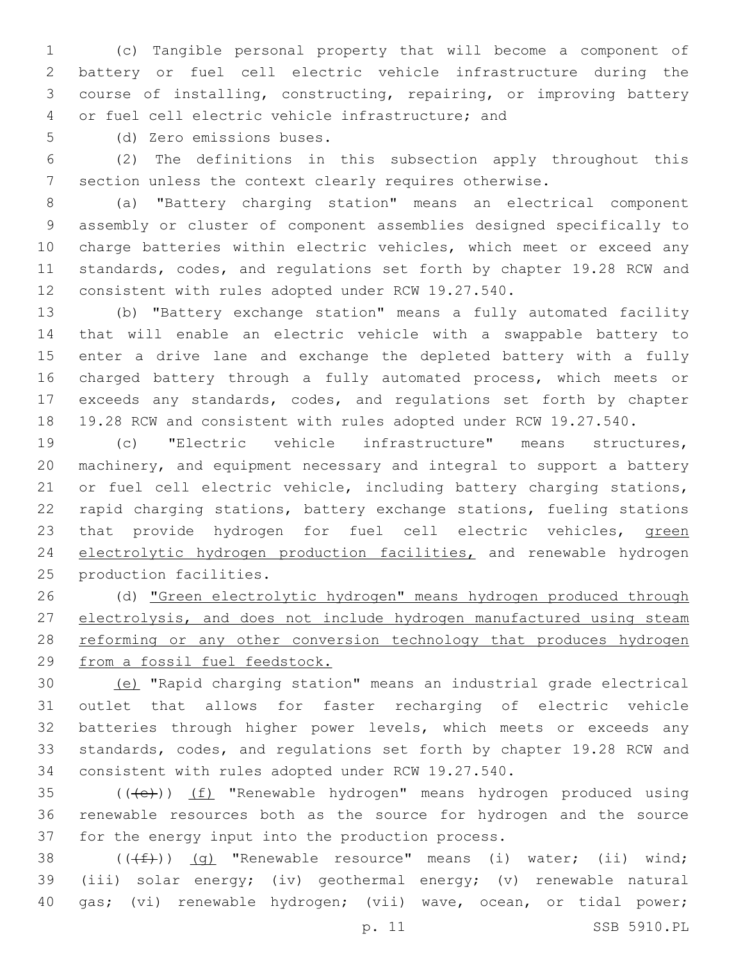(c) Tangible personal property that will become a component of battery or fuel cell electric vehicle infrastructure during the course of installing, constructing, repairing, or improving battery 4 or fuel cell electric vehicle infrastructure; and

5 (d) Zero emissions buses.

 (2) The definitions in this subsection apply throughout this section unless the context clearly requires otherwise.

 (a) "Battery charging station" means an electrical component assembly or cluster of component assemblies designed specifically to charge batteries within electric vehicles, which meet or exceed any standards, codes, and regulations set forth by chapter 19.28 RCW and consistent with rules adopted under RCW 19.27.540.

 (b) "Battery exchange station" means a fully automated facility that will enable an electric vehicle with a swappable battery to enter a drive lane and exchange the depleted battery with a fully charged battery through a fully automated process, which meets or exceeds any standards, codes, and regulations set forth by chapter 19.28 RCW and consistent with rules adopted under RCW 19.27.540.

 (c) "Electric vehicle infrastructure" means structures, machinery, and equipment necessary and integral to support a battery 21 or fuel cell electric vehicle, including battery charging stations, rapid charging stations, battery exchange stations, fueling stations 23 that provide hydrogen for fuel cell electric vehicles, green electrolytic hydrogen production facilities, and renewable hydrogen 25 production facilities.

 (d) "Green electrolytic hydrogen" means hydrogen produced through electrolysis, and does not include hydrogen manufactured using steam 28 reforming or any other conversion technology that produces hydrogen from a fossil fuel feedstock.

 (e) "Rapid charging station" means an industrial grade electrical outlet that allows for faster recharging of electric vehicle batteries through higher power levels, which meets or exceeds any standards, codes, and regulations set forth by chapter 19.28 RCW and consistent with rules adopted under RCW 19.27.540.

35 (((e)) (f) "Renewable hydrogen" means hydrogen produced using renewable resources both as the source for hydrogen and the source 37 for the energy input into the production process.

38  $((\text{#})\text{)}$  (g) "Renewable resource" means (i) water; (ii) wind; (iii) solar energy; (iv) geothermal energy; (v) renewable natural gas; (vi) renewable hydrogen; (vii) wave, ocean, or tidal power;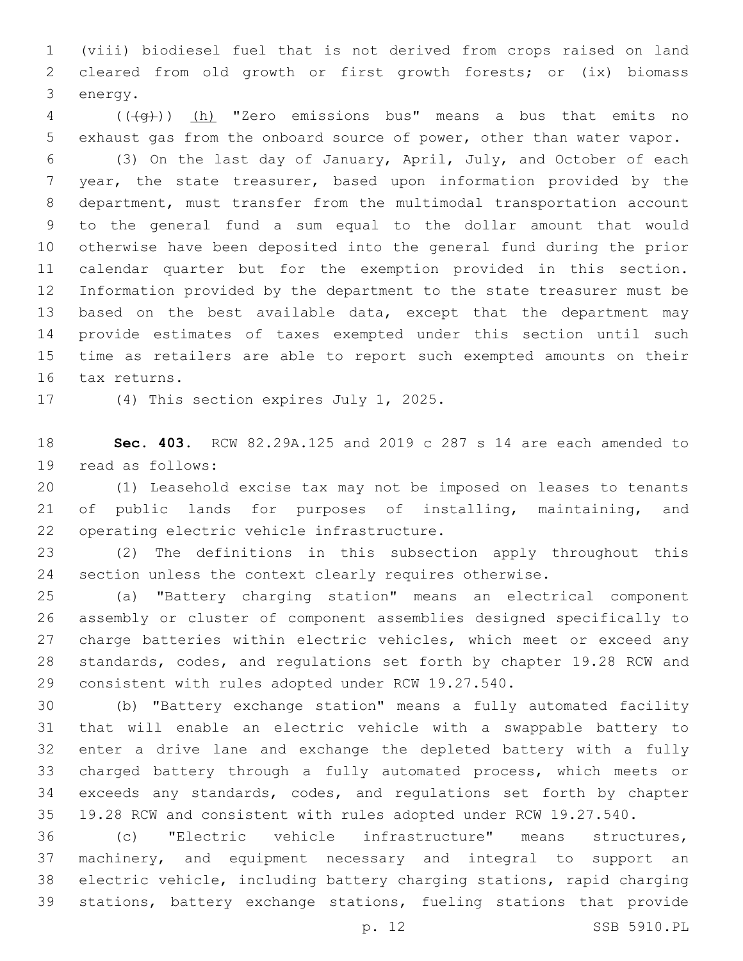(viii) biodiesel fuel that is not derived from crops raised on land cleared from old growth or first growth forests; or (ix) biomass 3 energy.

 ( $(\overline{+q})$ ) (h) "Zero emissions bus" means a bus that emits no exhaust gas from the onboard source of power, other than water vapor.

 (3) On the last day of January, April, July, and October of each year, the state treasurer, based upon information provided by the department, must transfer from the multimodal transportation account to the general fund a sum equal to the dollar amount that would otherwise have been deposited into the general fund during the prior calendar quarter but for the exemption provided in this section. Information provided by the department to the state treasurer must be 13 based on the best available data, except that the department may provide estimates of taxes exempted under this section until such time as retailers are able to report such exempted amounts on their 16 tax returns.

17 (4) This section expires July 1, 2025.

 **Sec. 403.** RCW 82.29A.125 and 2019 c 287 s 14 are each amended to 19 read as follows:

 (1) Leasehold excise tax may not be imposed on leases to tenants of public lands for purposes of installing, maintaining, and 22 operating electric vehicle infrastructure.

 (2) The definitions in this subsection apply throughout this section unless the context clearly requires otherwise.

 (a) "Battery charging station" means an electrical component assembly or cluster of component assemblies designed specifically to 27 charge batteries within electric vehicles, which meet or exceed any standards, codes, and regulations set forth by chapter 19.28 RCW and consistent with rules adopted under RCW 19.27.540.

 (b) "Battery exchange station" means a fully automated facility that will enable an electric vehicle with a swappable battery to enter a drive lane and exchange the depleted battery with a fully charged battery through a fully automated process, which meets or exceeds any standards, codes, and regulations set forth by chapter 19.28 RCW and consistent with rules adopted under RCW 19.27.540.

 (c) "Electric vehicle infrastructure" means structures, machinery, and equipment necessary and integral to support an electric vehicle, including battery charging stations, rapid charging stations, battery exchange stations, fueling stations that provide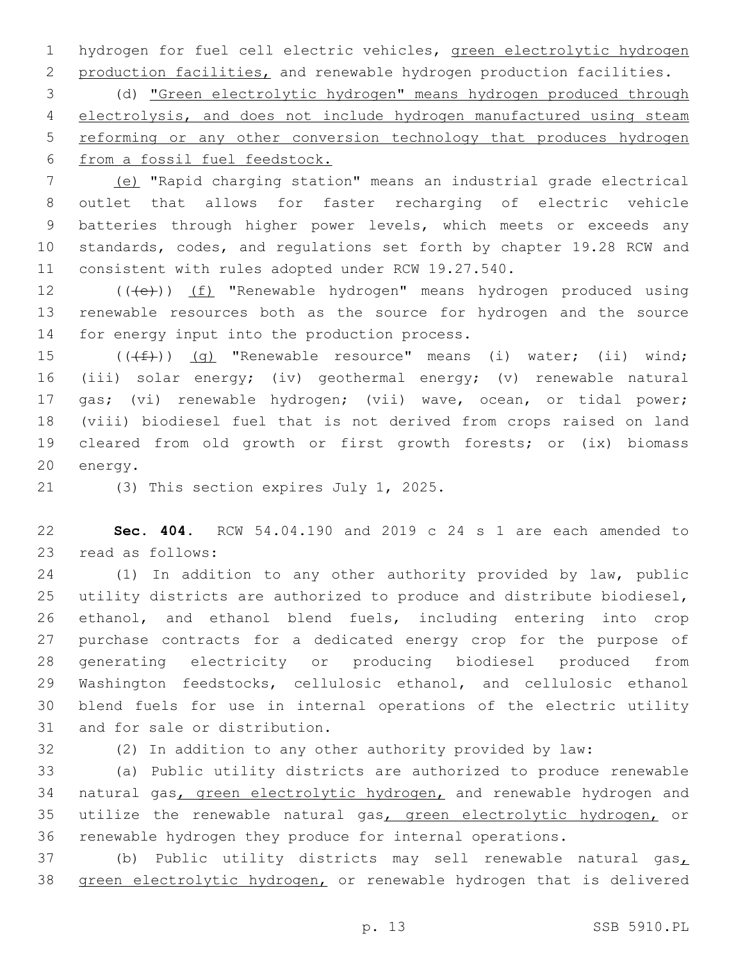hydrogen for fuel cell electric vehicles, green electrolytic hydrogen production facilities, and renewable hydrogen production facilities.

 (d) "Green electrolytic hydrogen" means hydrogen produced through electrolysis, and does not include hydrogen manufactured using steam reforming or any other conversion technology that produces hydrogen from a fossil fuel feedstock.

 (e) "Rapid charging station" means an industrial grade electrical outlet that allows for faster recharging of electric vehicle batteries through higher power levels, which meets or exceeds any standards, codes, and regulations set forth by chapter 19.28 RCW and consistent with rules adopted under RCW 19.27.540.

12 (((e)) (f) "Renewable hydrogen" means hydrogen produced using renewable resources both as the source for hydrogen and the source 14 for energy input into the production process.

 $((\text{+f}))(q)$  "Renewable resource" means (i) water; (ii) wind; (iii) solar energy; (iv) geothermal energy; (v) renewable natural gas; (vi) renewable hydrogen; (vii) wave, ocean, or tidal power; (viii) biodiesel fuel that is not derived from crops raised on land cleared from old growth or first growth forests; or (ix) biomass 20 energy.

21 (3) This section expires July 1, 2025.

 **Sec. 404.** RCW 54.04.190 and 2019 c 24 s 1 are each amended to 23 read as follows:

 (1) In addition to any other authority provided by law, public utility districts are authorized to produce and distribute biodiesel, ethanol, and ethanol blend fuels, including entering into crop purchase contracts for a dedicated energy crop for the purpose of generating electricity or producing biodiesel produced from Washington feedstocks, cellulosic ethanol, and cellulosic ethanol blend fuels for use in internal operations of the electric utility 31 and for sale or distribution.

(2) In addition to any other authority provided by law:

 (a) Public utility districts are authorized to produce renewable 34 natural gas, green electrolytic hydrogen, and renewable hydrogen and 35 utilize the renewable natural gas, green electrolytic hydrogen, or renewable hydrogen they produce for internal operations.

37 (b) Public utility districts may sell renewable natural gas $_L$ green electrolytic hydrogen, or renewable hydrogen that is delivered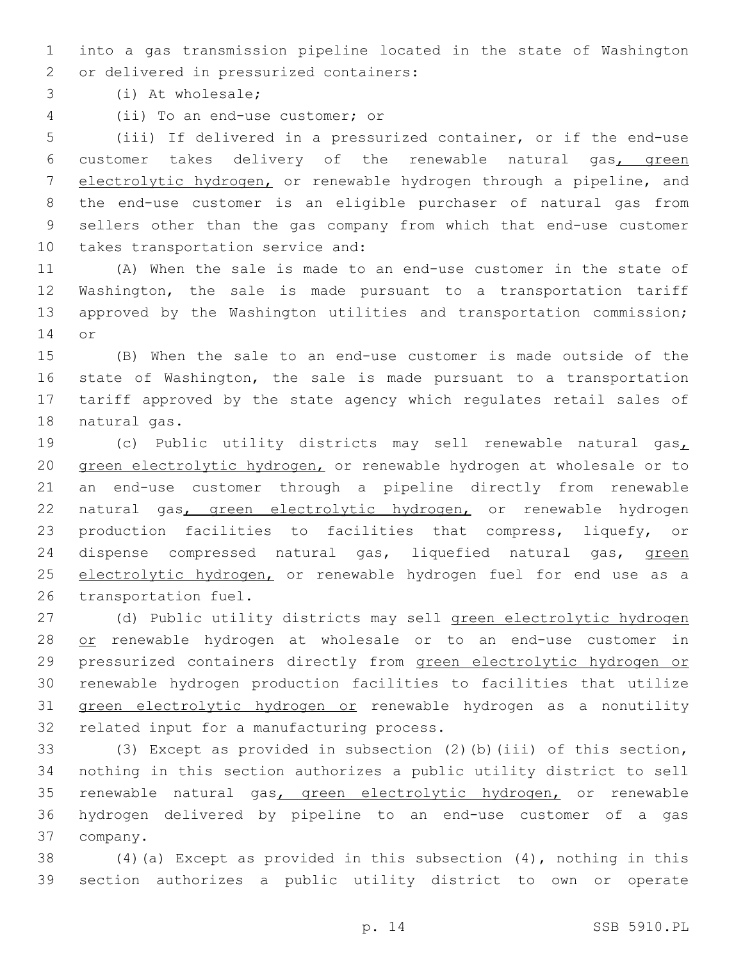into a gas transmission pipeline located in the state of Washington 2 or delivered in pressurized containers:

(i) At wholesale;3

(ii) To an end-use customer; or4

 (iii) If delivered in a pressurized container, or if the end-use customer takes delivery of the renewable natural gas, green 7 electrolytic hydrogen, or renewable hydrogen through a pipeline, and the end-use customer is an eligible purchaser of natural gas from sellers other than the gas company from which that end-use customer 10 takes transportation service and:

 (A) When the sale is made to an end-use customer in the state of Washington, the sale is made pursuant to a transportation tariff approved by the Washington utilities and transportation commission; 14 or

 (B) When the sale to an end-use customer is made outside of the state of Washington, the sale is made pursuant to a transportation tariff approved by the state agency which regulates retail sales of 18 natural gas.

 (c) Public utility districts may sell renewable natural gas, green electrolytic hydrogen, or renewable hydrogen at wholesale or to an end-use customer through a pipeline directly from renewable 22 natural gas, green electrolytic hydrogen, or renewable hydrogen production facilities to facilities that compress, liquefy, or 24 dispense compressed natural gas, liquefied natural gas, green 25 electrolytic hydrogen, or renewable hydrogen fuel for end use as a 26 transportation fuel.

 (d) Public utility districts may sell green electrolytic hydrogen 28 or renewable hydrogen at wholesale or to an end-use customer in pressurized containers directly from green electrolytic hydrogen or renewable hydrogen production facilities to facilities that utilize green electrolytic hydrogen or renewable hydrogen as a nonutility 32 related input for a manufacturing process.

 (3) Except as provided in subsection (2)(b)(iii) of this section, nothing in this section authorizes a public utility district to sell renewable natural gas, green electrolytic hydrogen, or renewable hydrogen delivered by pipeline to an end-use customer of a gas 37 company.

 (4)(a) Except as provided in this subsection (4), nothing in this section authorizes a public utility district to own or operate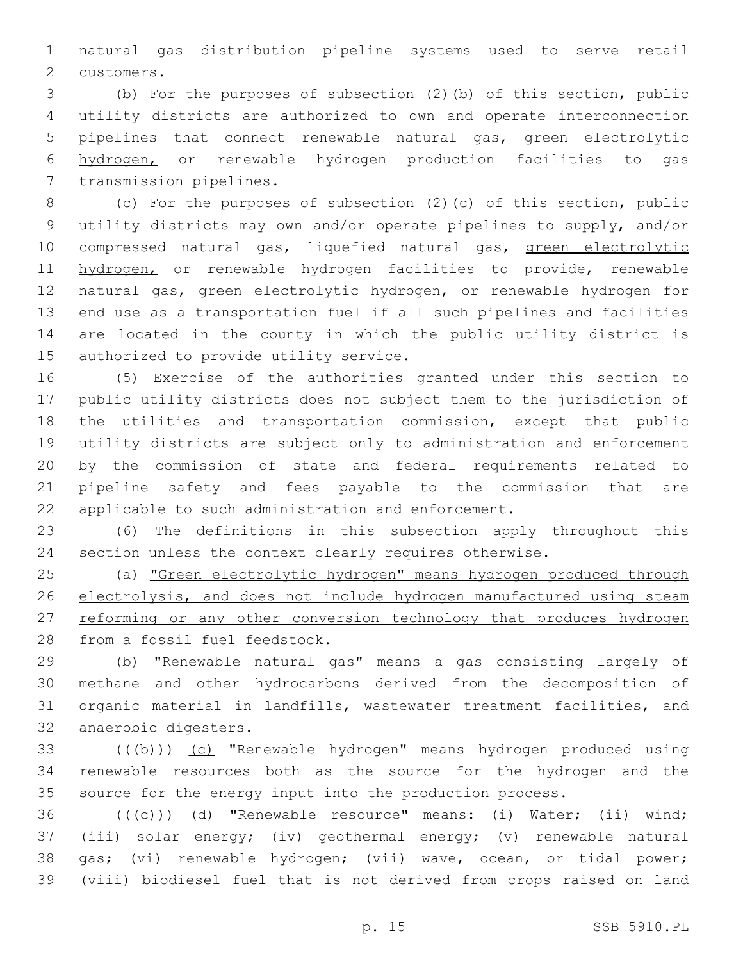natural gas distribution pipeline systems used to serve retail 2 customers.

 (b) For the purposes of subsection (2)(b) of this section, public utility districts are authorized to own and operate interconnection 5 pipelines that connect renewable natural gas, green electrolytic hydrogen, or renewable hydrogen production facilities to gas 7 transmission pipelines.

 (c) For the purposes of subsection (2)(c) of this section, public utility districts may own and/or operate pipelines to supply, and/or 10 compressed natural gas, liquefied natural gas, green electrolytic 11 hydrogen, or renewable hydrogen facilities to provide, renewable 12 natural gas, green electrolytic hydrogen, or renewable hydrogen for end use as a transportation fuel if all such pipelines and facilities are located in the county in which the public utility district is 15 authorized to provide utility service.

 (5) Exercise of the authorities granted under this section to public utility districts does not subject them to the jurisdiction of the utilities and transportation commission, except that public utility districts are subject only to administration and enforcement by the commission of state and federal requirements related to pipeline safety and fees payable to the commission that are applicable to such administration and enforcement.

 (6) The definitions in this subsection apply throughout this section unless the context clearly requires otherwise.

 (a) "Green electrolytic hydrogen" means hydrogen produced through 26 electrolysis, and does not include hydrogen manufactured using steam 27 reforming or any other conversion technology that produces hydrogen from a fossil fuel feedstock.

 (b) "Renewable natural gas" means a gas consisting largely of methane and other hydrocarbons derived from the decomposition of organic material in landfills, wastewater treatment facilities, and 32 anaerobic digesters.

33 (((b))) (c) "Renewable hydrogen" means hydrogen produced using renewable resources both as the source for the hydrogen and the source for the energy input into the production process.

36 (((e))) (d) "Renewable resource" means: (i) Water; (ii) wind; (iii) solar energy; (iv) geothermal energy; (v) renewable natural gas; (vi) renewable hydrogen; (vii) wave, ocean, or tidal power; (viii) biodiesel fuel that is not derived from crops raised on land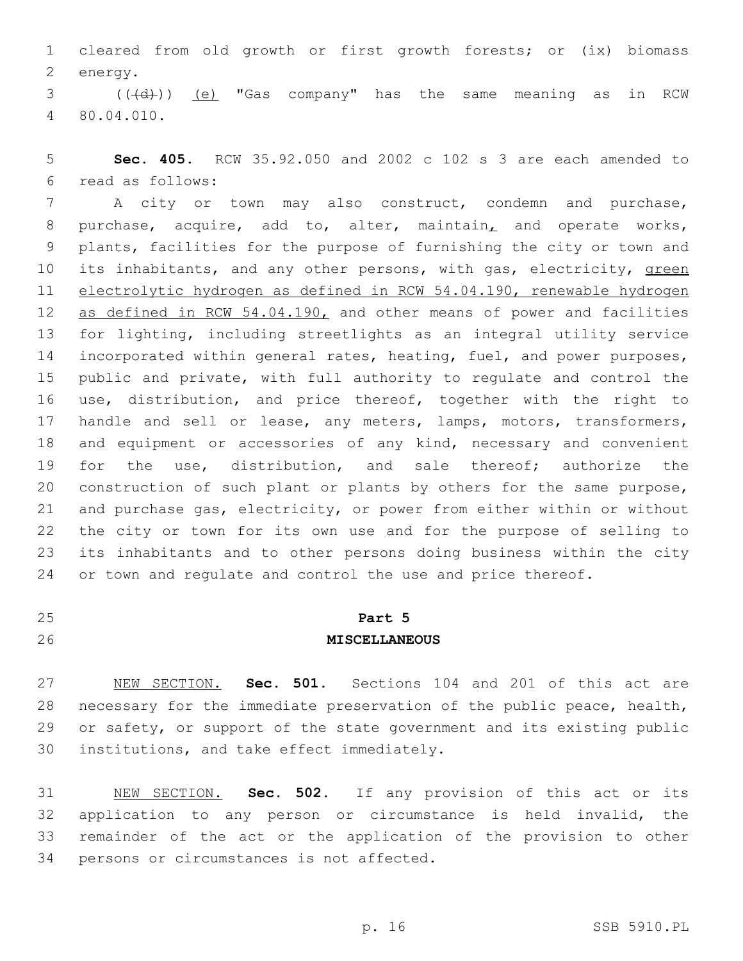cleared from old growth or first growth forests; or (ix) biomass 2 energy.

3 (((d))) (e) "Gas company" has the same meaning as in RCW 80.04.010.4

 **Sec. 405.** RCW 35.92.050 and 2002 c 102 s 3 are each amended to read as follows:6

 A city or town may also construct, condemn and purchase, purchase, acquire, add to, alter, maintain, and operate works, plants, facilities for the purpose of furnishing the city or town and 10 its inhabitants, and any other persons, with gas, electricity, green electrolytic hydrogen as defined in RCW 54.04.190, renewable hydrogen 12 as defined in RCW 54.04.190, and other means of power and facilities for lighting, including streetlights as an integral utility service incorporated within general rates, heating, fuel, and power purposes, public and private, with full authority to regulate and control the use, distribution, and price thereof, together with the right to handle and sell or lease, any meters, lamps, motors, transformers, and equipment or accessories of any kind, necessary and convenient for the use, distribution, and sale thereof; authorize the construction of such plant or plants by others for the same purpose, and purchase gas, electricity, or power from either within or without the city or town for its own use and for the purpose of selling to its inhabitants and to other persons doing business within the city 24 or town and requlate and control the use and price thereof.

# **Part 5 MISCELLANEOUS**

 NEW SECTION. **Sec. 501.** Sections 104 and 201 of this act are necessary for the immediate preservation of the public peace, health, or safety, or support of the state government and its existing public institutions, and take effect immediately.

 NEW SECTION. **Sec. 502.** If any provision of this act or its application to any person or circumstance is held invalid, the remainder of the act or the application of the provision to other persons or circumstances is not affected.